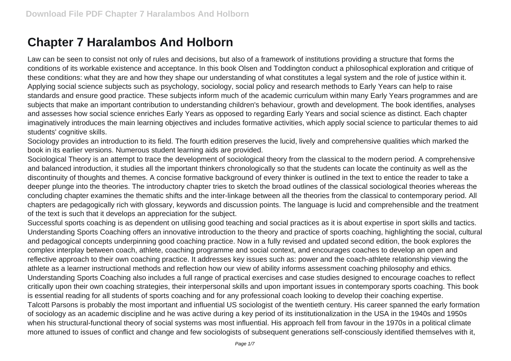## **Chapter 7 Haralambos And Holborn**

Law can be seen to consist not only of rules and decisions, but also of a framework of institutions providing a structure that forms the conditions of its workable existence and acceptance. In this book Olsen and Toddington conduct a philosophical exploration and critique of these conditions: what they are and how they shape our understanding of what constitutes a legal system and the role of justice within it. Applying social science subjects such as psychology, sociology, social policy and research methods to Early Years can help to raise standards and ensure good practice. These subjects inform much of the academic curriculum within many Early Years programmes and are subjects that make an important contribution to understanding children's behaviour, growth and development. The book identifies, analyses and assesses how social science enriches Early Years as opposed to regarding Early Years and social science as distinct. Each chapter imaginatively introduces the main learning objectives and includes formative activities, which apply social science to particular themes to aid students' cognitive skills.

Sociology provides an introduction to its field. The fourth edition preserves the lucid, lively and comprehensive qualities which marked the book in its earlier versions. Numerous student learning aids are provided.

Sociological Theory is an attempt to trace the development of sociological theory from the classical to the modern period. A comprehensive and balanced introduction, it studies all the important thinkers chronologically so that the students can locate the continuity as well as the discontinuity of thoughts and themes. A concise formative background of every thinker is outlined in the text to entice the reader to take a deeper plunge into the theories. The introductory chapter tries to sketch the broad outlines of the classical sociological theories whereas the concluding chapter examines the thematic shifts and the inter-linkage between all the theories from the classical to contemporary period. All chapters are pedagogically rich with glossary, keywords and discussion points. The language is lucid and comprehensible and the treatment of the text is such that it develops an appreciation for the subject.

Successful sports coaching is as dependent on utilising good teaching and social practices as it is about expertise in sport skills and tactics. Understanding Sports Coaching offers an innovative introduction to the theory and practice of sports coaching, highlighting the social, cultural and pedagogical concepts underpinning good coaching practice. Now in a fully revised and updated second edition, the book explores the complex interplay between coach, athlete, coaching programme and social context, and encourages coaches to develop an open and reflective approach to their own coaching practice. It addresses key issues such as: power and the coach-athlete relationship viewing the athlete as a learner instructional methods and reflection how our view of ability informs assessment coaching philosophy and ethics. Understanding Sports Coaching also includes a full range of practical exercises and case studies designed to encourage coaches to reflect critically upon their own coaching strategies, their interpersonal skills and upon important issues in contemporary sports coaching. This book is essential reading for all students of sports coaching and for any professional coach looking to develop their coaching expertise. Talcott Parsons is probably the most important and influential US sociologist of the twentieth century. His career spanned the early formation of sociology as an academic discipline and he was active during a key period of its institutionalization in the USA in the 1940s and 1950s when his structural-functional theory of social systems was most influential. His approach fell from favour in the 1970s in a political climate more attuned to issues of conflict and change and few sociologists of subsequent generations self-consciously identified themselves with it,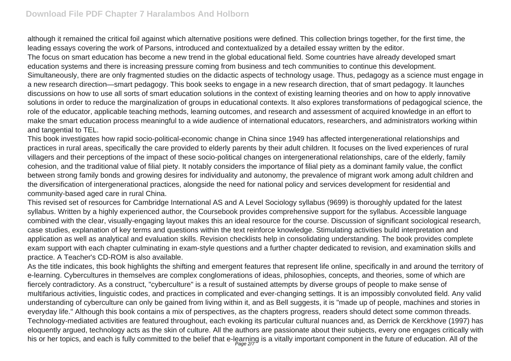although it remained the critical foil against which alternative positions were defined. This collection brings together, for the first time, the leading essays covering the work of Parsons, introduced and contextualized by a detailed essay written by the editor.

The focus on smart education has become a new trend in the global educational field. Some countries have already developed smart education systems and there is increasing pressure coming from business and tech communities to continue this development. Simultaneously, there are only fragmented studies on the didactic aspects of technology usage. Thus, pedagogy as a science must engage in a new research direction—smart pedagogy. This book seeks to engage in a new research direction, that of smart pedagogy. It launches discussions on how to use all sorts of smart education solutions in the context of existing learning theories and on how to apply innovative solutions in order to reduce the marginalization of groups in educational contexts. It also explores transformations of pedagogical science, the role of the educator, applicable teaching methods, learning outcomes, and research and assessment of acquired knowledge in an effort to make the smart education process meaningful to a wide audience of international educators, researchers, and administrators working within and tangential to TEL.

This book investigates how rapid socio-political-economic change in China since 1949 has affected intergenerational relationships and practices in rural areas, specifically the care provided to elderly parents by their adult children. It focuses on the lived experiences of rural villagers and their perceptions of the impact of these socio-political changes on intergenerational relationships, care of the elderly, family cohesion, and the traditional value of filial piety. It notably considers the importance of filial piety as a dominant family value, the conflict between strong family bonds and growing desires for individuality and autonomy, the prevalence of migrant work among adult children and the diversification of intergenerational practices, alongside the need for national policy and services development for residential and community-based aged care in rural China.

This revised set of resources for Cambridge International AS and A Level Sociology syllabus (9699) is thoroughly updated for the latest syllabus. Written by a highly experienced author, the Coursebook provides comprehensive support for the syllabus. Accessible language combined with the clear, visually-engaging layout makes this an ideal resource for the course. Discussion of significant sociological research, case studies, explanation of key terms and questions within the text reinforce knowledge. Stimulating activities build interpretation and application as well as analytical and evaluation skills. Revision checklists help in consolidating understanding. The book provides complete exam support with each chapter culminating in exam-style questions and a further chapter dedicated to revision, and examination skills and practice. A Teacher's CD-ROM is also available.

As the title indicates, this book highlights the shifting and emergent features that represent life online, specifically in and around the territory of e-learning. Cybercultures in themselves are complex conglomerations of ideas, philosophies, concepts, and theories, some of which are fiercely contradictory. As a construct, "cyberculture" is a result of sustained attempts by diverse groups of people to make sense of multifarious activities, linguistic codes, and practices in complicated and ever-changing settings. It is an impossibly convoluted field. Any valid understanding of cyberculture can only be gained from living within it, and as Bell suggests, it is "made up of people, machines and stories in everyday life." Although this book contains a mix of perspectives, as the chapters progress, readers should detect some common threads. Technology-mediated activities are featured throughout, each evoking its particular cultural nuances and, as Derrick de Kerckhove (1997) has eloquently argued, technology acts as the skin of culture. All the authors are passionate about their subjects, every one engages critically with his or her topics, and each is fully committed to the belief that e-learning is a vitally important component in the future of education. All of the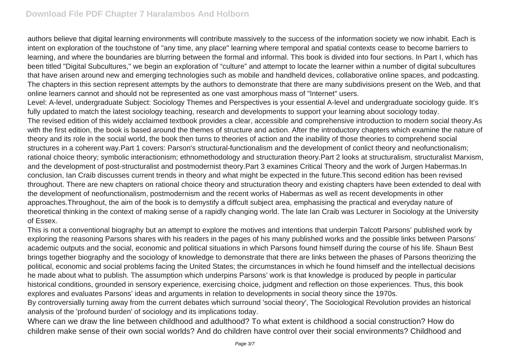authors believe that digital learning environments will contribute massively to the success of the information society we now inhabit. Each is intent on exploration of the touchstone of "any time, any place" learning where temporal and spatial contexts cease to become barriers to learning, and where the boundaries are blurring between the formal and informal. This book is divided into four sections. In Part I, which has been titled "Digital Subcultures," we begin an exploration of "culture" and attempt to locate the learner within a number of digital subcultures that have arisen around new and emerging technologies such as mobile and handheld devices, collaborative online spaces, and podcasting. The chapters in this section represent attempts by the authors to demonstrate that there are many subdivisions present on the Web, and that online learners cannot and should not be represented as one vast amorphous mass of "Internet" users.

Level: A-level, undergraduate Subject: Sociology Themes and Perspectives is your essential A-level and undergraduate sociology guide. It's fully updated to match the latest sociology teaching, research and developments to support your learning about sociology today.

The revised edition of this widely acclaimed textbook provides a clear, accessible and comprehensive introduction to modern social theory.As with the first edition, the book is based around the themes of structure and action. After the introductory chapters which examine the nature of theory and its role in the social world, the book then turns to theories of action and the inability of those theories to comprehend social structures in a coherent way.Part 1 covers: Parson's structural-functionalism and the development of conlict theory and neofunctionalism; rational choice theory; symbolic interactionism; ethnomethodology and structuration theory.Part 2 looks at structuralism, structuralist Marxism, and the development of post-structuralist and postmodernist theory.Part 3 examines Critical Theory and the work of Jurgen Habermas.In conclusion, Ian Craib discusses current trends in theory and what might be expected in the future.This second edition has been revised throughout. There are new chapters on rational choice theory and structuration theory and existing chapters have been extended to deal with the development of neofunctionalism, postmodernism and the recent works of Habermas as well as recent developments in other approaches.Throughout, the aim of the book is to demystify a diffcult subject area, emphasising the practical and everyday nature of theoretical thinking in the context of making sense of a rapidly changing world. The late Ian Craib was Lecturer in Sociology at the University of Essex.

This is not a conventional biography but an attempt to explore the motives and intentions that underpin Talcott Parsons' published work by exploring the reasoning Parsons shares with his readers in the pages of his many published works and the possible links between Parsons' academic outputs and the social, economic and political situations in which Parsons found himself during the course of his life. Shaun Best brings together biography and the sociology of knowledge to demonstrate that there are links between the phases of Parsons theorizing the political, economic and social problems facing the United States; the circumstances in which he found himself and the intellectual decisions he made about what to publish. The assumption which underpins Parsons' work is that knowledge is produced by people in particular historical conditions, grounded in sensory experience, exercising choice, judgment and reflection on those experiences. Thus, this book explores and evaluates Parsons' ideas and arguments in relation to developments in social theory since the 1970s.

By controversially turning away from the current debates which surround 'social theory', The Sociological Revolution provides an historical analysis of the 'profound burden' of sociology and its implications today.

Where can we draw the line between childhood and adulthood? To what extent is childhood a social construction? How do children make sense of their own social worlds? And do children have control over their social environments? Childhood and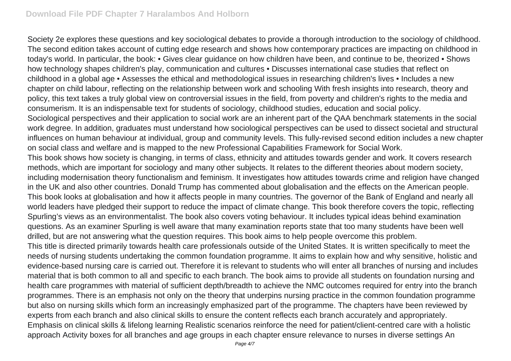Society 2e explores these questions and key sociological debates to provide a thorough introduction to the sociology of childhood. The second edition takes account of cutting edge research and shows how contemporary practices are impacting on childhood in today's world. In particular, the book: • Gives clear guidance on how children have been, and continue to be, theorized • Shows how technology shapes children's play, communication and cultures • Discusses international case studies that reflect on childhood in a global age • Assesses the ethical and methodological issues in researching children's lives • Includes a new chapter on child labour, reflecting on the relationship between work and schooling With fresh insights into research, theory and policy, this text takes a truly global view on controversial issues in the field, from poverty and children's rights to the media and consumerism. It is an indispensable text for students of sociology, childhood studies, education and social policy. Sociological perspectives and their application to social work are an inherent part of the QAA benchmark statements in the social work degree. In addition, graduates must understand how sociological perspectives can be used to dissect societal and structural influences on human behaviour at individual, group and community levels. This fully-revised second edition includes a new chapter on social class and welfare and is mapped to the new Professional Capabilities Framework for Social Work. This book shows how society is changing, in terms of class, ethnicity and attitudes towards gender and work. It covers research methods, which are important for sociology and many other subjects. It relates to the different theories about modern society, including modernisation theory functionalism and feminism. It investigates how attitudes towards crime and religion have changed in the UK and also other countries. Donald Trump has commented about globalisation and the effects on the American people. This book looks at globalisation and how it affects people in many countries. The governor of the Bank of England and nearly all world leaders have pledged their support to reduce the impact of climate change. This book therefore covers the topic, reflecting Spurling's views as an environmentalist. The book also covers voting behaviour. It includes typical ideas behind examination questions. As an examiner Spurling is well aware that many examination reports state that too many students have been well drilled, but are not answering what the question requires. This book aims to help people overcome this problem. This title is directed primarily towards health care professionals outside of the United States. It is written specifically to meet the needs of nursing students undertaking the common foundation programme. It aims to explain how and why sensitive, holistic and evidence-based nursing care is carried out. Therefore it is relevant to students who will enter all branches of nursing and includes material that is both common to all and specific to each branch. The book aims to provide all students on foundation nursing and health care programmes with material of sufficient depth/breadth to achieve the NMC outcomes required for entry into the branch programmes. There is an emphasis not only on the theory that underpins nursing practice in the common foundation programme but also on nursing skills which form an increasingly emphasized part of the programme. The chapters have been reviewed by experts from each branch and also clinical skills to ensure the content reflects each branch accurately and appropriately. Emphasis on clinical skills & lifelong learning Realistic scenarios reinforce the need for patient/client-centred care with a holistic approach Activity boxes for all branches and age groups in each chapter ensure relevance to nurses in diverse settings An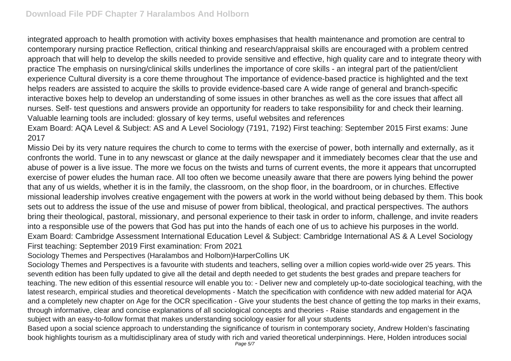integrated approach to health promotion with activity boxes emphasises that health maintenance and promotion are central to contemporary nursing practice Reflection, critical thinking and research/appraisal skills are encouraged with a problem centred approach that will help to develop the skills needed to provide sensitive and effective, high quality care and to integrate theory with practice The emphasis on nursing/clinical skills underlines the importance of core skills - an integral part of the patient/client experience Cultural diversity is a core theme throughout The importance of evidence-based practice is highlighted and the text helps readers are assisted to acquire the skills to provide evidence-based care A wide range of general and branch-specific interactive boxes help to develop an understanding of some issues in other branches as well as the core issues that affect all nurses. Self- test questions and answers provide an opportunity for readers to take responsibility for and check their learning. Valuable learning tools are included: glossary of key terms, useful websites and references

Exam Board: AQA Level & Subject: AS and A Level Sociology (7191, 7192) First teaching: September 2015 First exams: June 2017

Missio Dei by its very nature requires the church to come to terms with the exercise of power, both internally and externally, as it confronts the world. Tune in to any newscast or glance at the daily newspaper and it immediately becomes clear that the use and abuse of power is a live issue. The more we focus on the twists and turns of current events, the more it appears that uncorrupted exercise of power eludes the human race. All too often we become uneasily aware that there are powers lying behind the power that any of us wields, whether it is in the family, the classroom, on the shop floor, in the boardroom, or in churches. Effective missional leadership involves creative engagement with the powers at work in the world without being debased by them. This book sets out to address the issue of the use and misuse of power from biblical, theological, and practical perspectives. The authors bring their theological, pastoral, missionary, and personal experience to their task in order to inform, challenge, and invite readers into a responsible use of the powers that God has put into the hands of each one of us to achieve his purposes in the world. Exam Board: Cambridge Assessment International Education Level & Subject: Cambridge International AS & A Level Sociology First teaching: September 2019 First examination: From 2021

Sociology Themes and Perspectives (Haralambos and Holborn)HarperCollins UK

Sociology Themes and Perspectives is a favourite with students and teachers, selling over a million copies world-wide over 25 years. This seventh edition has been fully updated to give all the detail and depth needed to get students the best grades and prepare teachers for teaching. The new edition of this essential resource will enable you to: - Deliver new and completely up-to-date sociological teaching, with the latest research, empirical studies and theoretical developments - Match the specification with confidence with new added material for AQA and a completely new chapter on Age for the OCR specification - Give your students the best chance of getting the top marks in their exams, through informative, clear and concise explanations of all sociological concepts and theories - Raise standards and engagement in the subject with an easy-to-follow format that makes understanding sociology easier for all your students

Based upon a social science approach to understanding the significance of tourism in contemporary society, Andrew Holden's fascinating book highlights tourism as a multidisciplinary area of study with rich and varied theoretical underpinnings. Here, Holden introduces social Page 5/7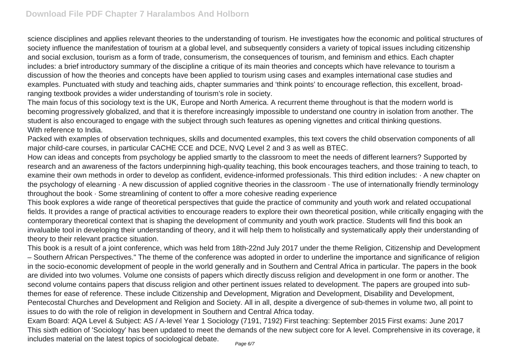science disciplines and applies relevant theories to the understanding of tourism. He investigates how the economic and political structures of society influence the manifestation of tourism at a global level, and subsequently considers a variety of topical issues including citizenship and social exclusion, tourism as a form of trade, consumerism, the consequences of tourism, and feminism and ethics. Each chapter includes: a brief introductory summary of the discipline a critique of its main theories and concepts which have relevance to tourism a discussion of how the theories and concepts have been applied to tourism using cases and examples international case studies and examples. Punctuated with study and teaching aids, chapter summaries and 'think points' to encourage reflection, this excellent, broadranging textbook provides a wider understanding of tourism's role in society.

The main focus of this sociology text is the UK, Europe and North America. A recurrent theme throughout is that the modern world is becoming progressively globalized, and that it is therefore increasingly impossible to understand one country in isolation from another. The student is also encouraged to engage with the subject through such features as opening vignettes and critical thinking questions. With reference to India.

Packed with examples of observation techniques, skills and documented examples, this text covers the child observation components of all major child-care courses, in particular CACHE CCE and DCE, NVQ Level 2 and 3 as well as BTEC.

How can ideas and concepts from psychology be applied smartly to the classroom to meet the needs of different learners? Supported by research and an awareness of the factors underpinning high-quality teaching, this book encourages teachers, and those training to teach, to examine their own methods in order to develop as confident, evidence-informed professionals. This third edition includes: · A new chapter on the psychology of elearning  $\cdot$  A new discussion of applied cognitive theories in the classroom  $\cdot$  The use of internationally friendly terminology throughout the book · Some streamlining of content to offer a more cohesive reading experience

This book explores a wide range of theoretical perspectives that guide the practice of community and youth work and related occupational fields. It provides a range of practical activities to encourage readers to explore their own theoretical position, while critically engaging with the contemporary theoretical context that is shaping the development of community and youth work practice. Students will find this book an invaluable tool in developing their understanding of theory, and it will help them to holistically and systematically apply their understanding of theory to their relevant practice situation.

This book is a result of a joint conference, which was held from 18th-22nd July 2017 under the theme Religion, Citizenship and Development – Southern African Perspectives." The theme of the conference was adopted in order to underline the importance and significance of religion in the socio-economic development of people in the world generally and in Southern and Central Africa in particular. The papers in the book are divided into two volumes. Volume one consists of papers which directly discuss religion and development in one form or another. The second volume contains papers that discuss religion and other pertinent issues related to development. The papers are grouped into subthemes for ease of reference. These include Citizenship and Development, Migration and Development, Disability and Development, Pentecostal Churches and Development and Religion and Society. All in all, despite a divergence of sub-themes in volume two, all point to issues to do with the role of religion in development in Southern and Central Africa today.

Exam Board: AQA Level & Subject: AS / A-level Year 1 Sociology (7191, 7192) First teaching: September 2015 First exams: June 2017 This sixth edition of 'Sociology' has been updated to meet the demands of the new subject core for A level. Comprehensive in its coverage, it includes material on the latest topics of sociological debate.